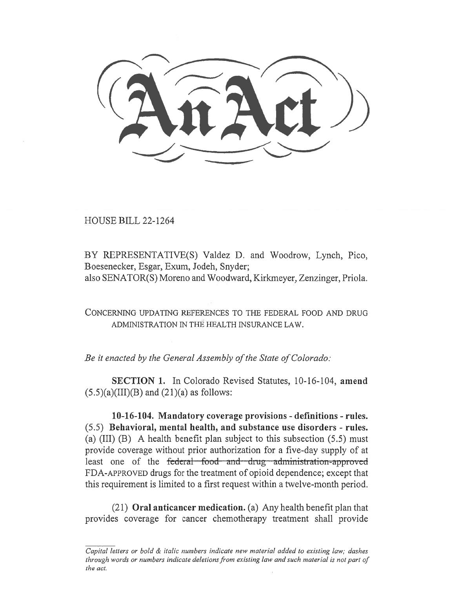HOUSE BILL 22-1264

BY REPRESENTATIVE(S) Valdez D. and Woodrow, Lynch, Pico, Boesenecker, Esgar, Exum, Jodeh, Snyder; also SENATOR(S) Moreno and Woodward, Kirkmeyer, Zenzinger, Priola.

CONCERNING UPDATING REFERENCES TO THE FEDERAL FOOD AND DRUG ADMINISTRATION IN THE HEALTH INSURANCE LAW.

Be it enacted by the General Assembly of the State of Colorado:

SECTION 1. In Colorado Revised Statutes, 10-16-104, amend  $(5.5)(a)(III)(B)$  and  $(21)(a)$  as follows:

10-16-104. Mandatory coverage provisions - definitions - rules. (5.5) Behavioral, mental health, and substance use disorders - rules. (a) (III) (B) A health benefit plan subject to this subsection (5.5) must provide coverage without prior authorization for a five-day supply of at least one of the federal food and drug administration-approved FDA-APPROVED drugs for the treatment of opioid dependence; except that this requirement is limited to a first request within a twelve-month period.

(21) Oral anticancer medication. (a) Any health benefit plan that provides coverage for cancer chemotherapy treatment shall provide

Capital letters or bold & italic numbers indicate new material added to existing law; dashes through words or numbers indicate deletions from existing law and such material is not part of the act.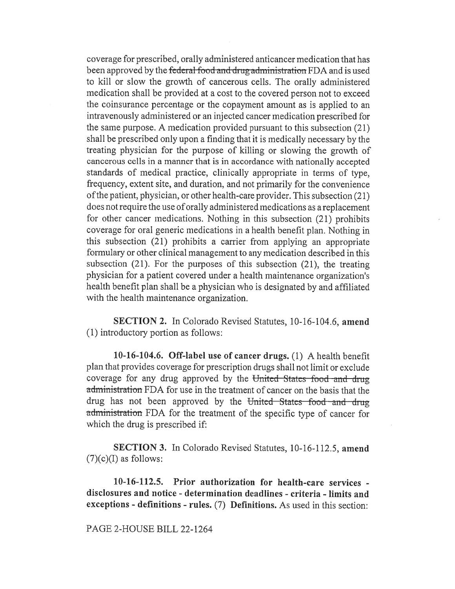coverage for prescribed, orally administered anticancer medication that has been approved by the federal-food and drug administration FDA and is used to kill or slow the growth of cancerous cells. The orally administered medication shall be provided at a cost to the covered person not to exceed the coinsurance percentage or the copayment amount as is applied to an intravenously administered or an injected cancer medication prescribed for the same purpose. A medication provided pursuant to this subsection (21) shall be prescribed only upon a finding that it is medically necessary by the treating physician for the purpose of killing or slowing the growth of cancerous cells in a manner that is in accordance with nationally accepted standards of medical practice, clinically appropriate in terms of type, frequency, extent site, and duration, and not primarily for the convenience of the patient, physician, or other health-care provider. This subsection (21) does not require the use of orally administered medications as a replacement for other cancer medications. Nothing in this subsection (21) prohibits coverage for oral generic medications in a health benefit plan. Nothing in this subsection (21) prohibits a carrier from applying an appropriate formulary or other clinical management to any medication described in this subsection (21). For the purposes of this subsection (21), the treating physician for a patient covered under a health maintenance organization's health benefit plan shall be a physician who is designated by and affiliated with the health maintenance organization.

SECTION 2. In Colorado Revised Statutes, 10-16-104.6, amend (1) introductory portion as follows:

10-16-104.6. Off-label use of cancer drugs. (1) A health benefit plan that provides coverage for prescription drugs shall not limit or exclude coverage for any drug approved by the United States food and drug administration FDA for use in the treatment of cancer on the basis that the drug has not been approved by the United States food and drug administration FDA for the treatment of the specific type of cancer for which the drug is prescribed if:

SECTION 3. In Colorado Revised Statutes, 10-16-112.5, amend  $(7)(c)(I)$  as follows:

10-16-112.5. Prior authorization for health-care services disclosures and notice - determination deadlines - criteria - limits and exceptions - definitions - rules. (7) Definitions. As used in this section:

## PAGE 2-HOUSE BILL 22-1264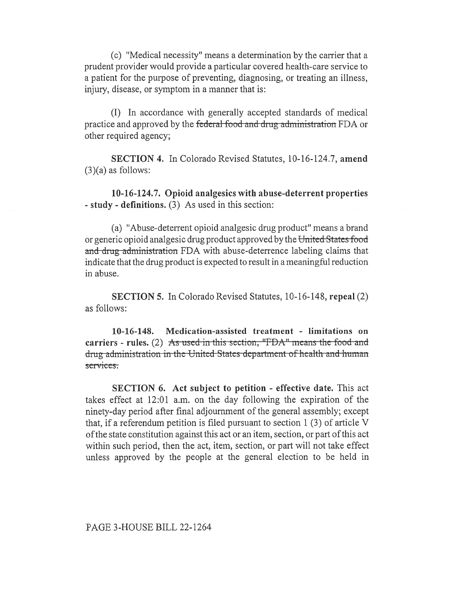(c) "Medical necessity" means a determination by the carrier that a prudent provider would provide a particular covered health-care service to a patient for the purpose of preventing, diagnosing, or treating an illness, injury, disease, or symptom in a manner that is:

(I) In accordance with generally accepted standards of medical practice and approved by the federal food and drug administration FDA or other required agency;

SECTION 4. In Colorado Revised Statutes, 10-16-124.7, amend  $(3)(a)$  as follows:

10-16-124.7. Opioid analgesics with abuse-deterrent properties - study - definitions. (3) As used in this section:

(a) "Abuse-deterrent opioid analgesic drug product" means a brand or generic opioid analgesic drug product approved by the United States food and drug administration FDA with abuse-deterrence labeling claims that indicate that the drug product is expected to result in a meaningful reduction in abuse.

SECTION 5. In Colorado Revised Statutes, 10-16-148, repeal (2) as follows:

10-16-148. Medication-assisted treatment - limitations on carriers - rules. (2) As used in this section, " $FDA$ " means the food and drug administration in the United States department of health and human services.

SECTION 6. Act subject to petition - effective date. This act takes effect at 12:01 a.m. on the day following the expiration of the ninety-day period after final adjournment of the general assembly; except that, if a referendum petition is filed pursuant to section 1 (3) of article V of the state constitution against this act or an item, section, or part of this act within such period, then the act, item, section, or part will not take effect unless approved by the people at the general election to be held in